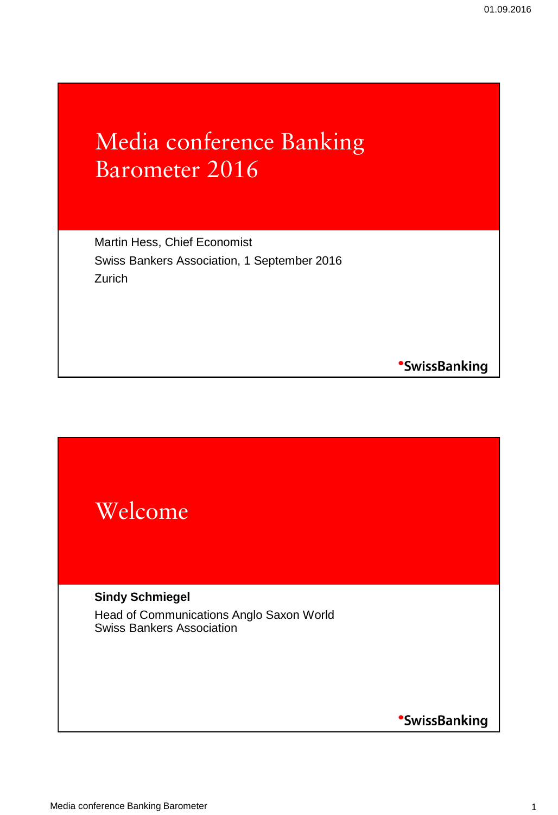### Media conference Banking Barometer 2016

Martin Hess, Chief Economist Swiss Bankers Association, 1 September 2016 **Zurich** 

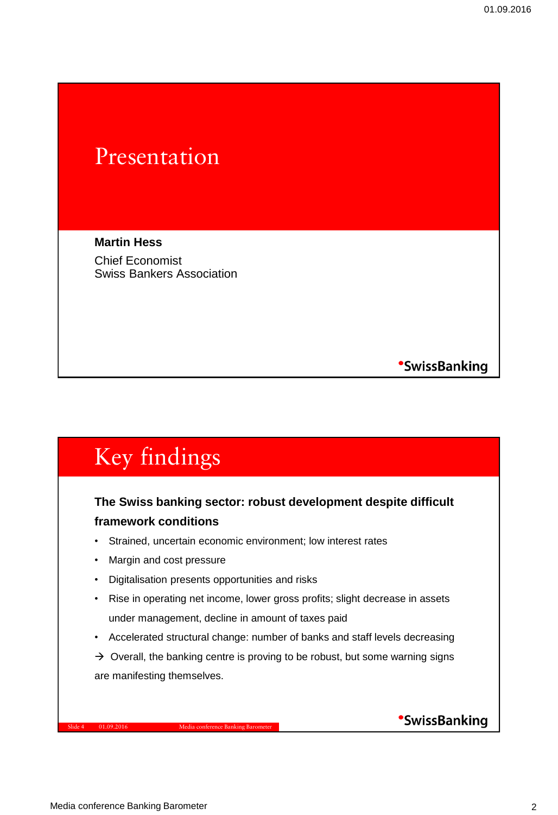### Presentation

**Martin Hess** Chief Economist Swiss Bankers Association

**SwissBanking** 

## Key findings

#### **The Swiss banking sector: robust development despite difficult framework conditions**

- Strained, uncertain economic environment; low interest rates
- Margin and cost pressure
- Digitalisation presents opportunities and risks
- Rise in operating net income, lower gross profits; slight decrease in assets under management, decline in amount of taxes paid
- Accelerated structural change: number of banks and staff levels decreasing
- $\rightarrow$  Overall, the banking centre is proving to be robust, but some warning signs are manifesting themselves.

Slide 4 01.09.2016 Media conference Banking Barometer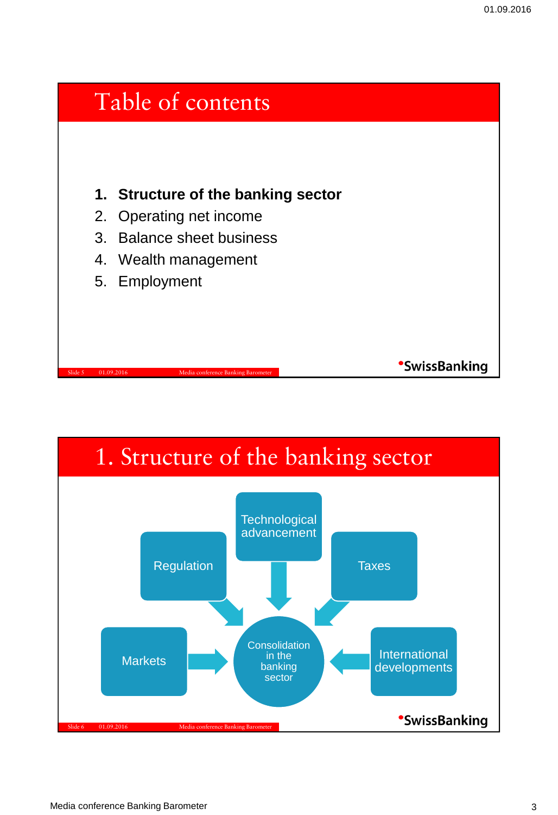

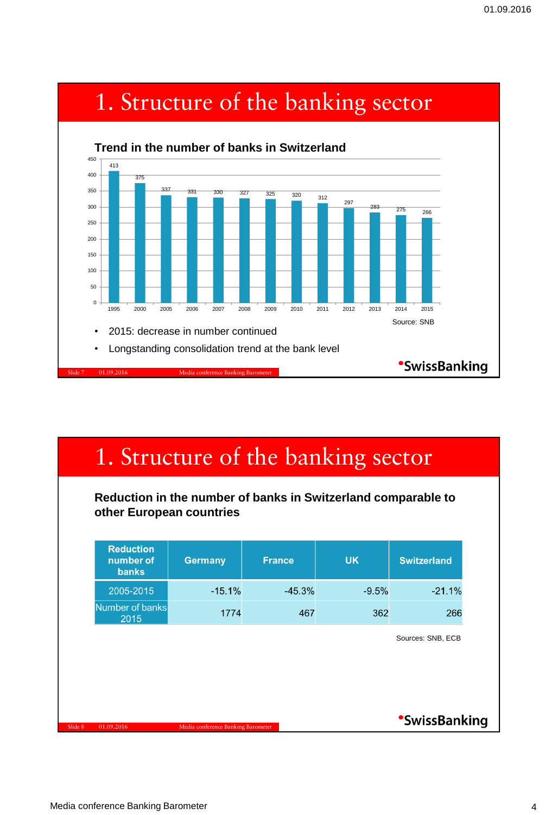

| 1. Structure of the banking sector                                                        |                                    |               |           |                     |  |  |
|-------------------------------------------------------------------------------------------|------------------------------------|---------------|-----------|---------------------|--|--|
| Reduction in the number of banks in Switzerland comparable to<br>other European countries |                                    |               |           |                     |  |  |
| <b>Reduction</b><br>number of<br><b>banks</b>                                             | <b>Germany</b>                     | <b>France</b> | <b>UK</b> | <b>Switzerland</b>  |  |  |
| 2005-2015                                                                                 | $-15.1%$                           | $-45.3%$      | $-9.5%$   | $-21.1%$            |  |  |
| Number of banks<br>2015                                                                   | 1774                               | 467           | 362       | 266                 |  |  |
|                                                                                           |                                    |               |           | Sources: SNB, ECB   |  |  |
|                                                                                           |                                    |               |           |                     |  |  |
|                                                                                           |                                    |               |           |                     |  |  |
| 01.09.2016                                                                                | Media conference Banking Barometer |               |           | <b>SwissBanking</b> |  |  |

## 1. Structure of the banking sector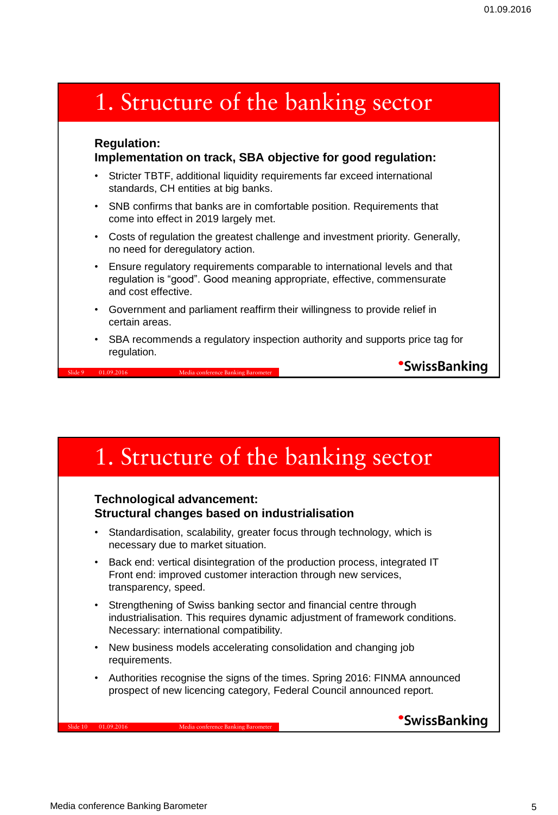### 1. Structure of the banking sector

#### **Regulation: Implementation on track, SBA objective for good regulation:**

- Stricter TBTF, additional liquidity requirements far exceed international standards, CH entities at big banks.
- SNB confirms that banks are in comfortable position. Requirements that come into effect in 2019 largely met.
- Costs of regulation the greatest challenge and investment priority. Generally, no need for deregulatory action.
- Ensure regulatory requirements comparable to international levels and that regulation is "good". Good meaning appropriate, effective, commensurate and cost effective.
- Government and parliament reaffirm their willingness to provide relief in certain areas.
- SBA recommends a regulatory inspection authority and supports price tag for regulation.

**SwissBanking** 

### 1. Structure of the banking sector

#### **Technological advancement: Structural changes based on industrialisation**

Slide 9 01.09.2016 Media conference Banking Barometer

- Standardisation, scalability, greater focus through technology, which is necessary due to market situation.
- Back end: vertical disintegration of the production process, integrated IT Front end: improved customer interaction through new services, transparency, speed.
- Strengthening of Swiss banking sector and financial centre through industrialisation. This requires dynamic adjustment of framework conditions. Necessary: international compatibility.
- New business models accelerating consolidation and changing job requirements.
- Authorities recognise the signs of the times. Spring 2016: FINMA announced prospect of new licencing category, Federal Council announced report.

Slide 10 01.09.2016 Media conference Banking Barometer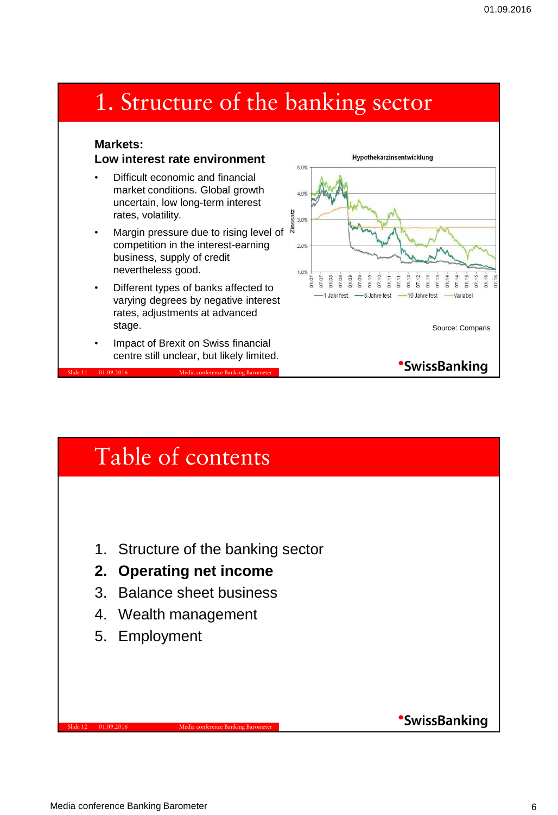### 1. Structure of the banking sector

#### **Markets: Low interest rate environment**

- Difficult economic and financial market conditions. Global growth uncertain, low long-term interest rates, volatility.
- Margin pressure due to rising level of competition in the interest-earning business, supply of credit nevertheless good.
- Different types of banks affected to varying degrees by negative interest rates, adjustments at advanced stage.
- Impact of Brexit on Swiss financial centre still unclear, but likely limited.

Slide 11 01.09.2016 Media conference Banking Barometer



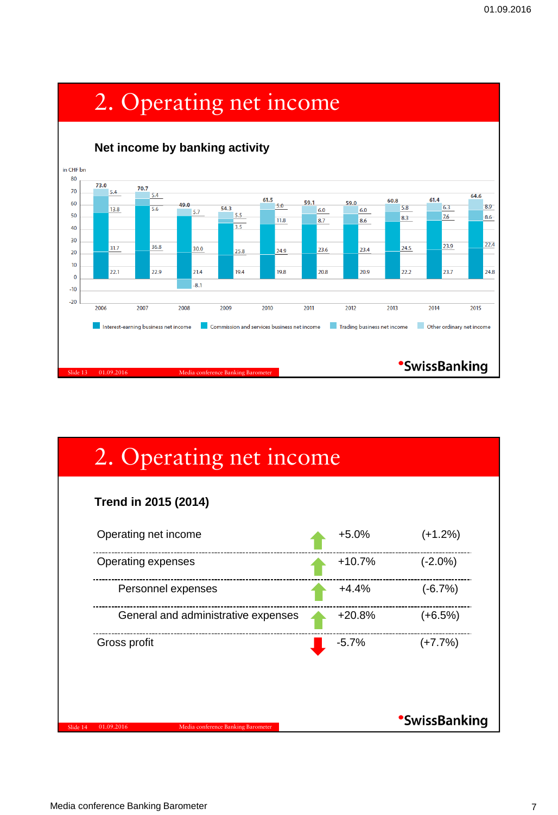

# 2. Operating net income

| Operating net income                | $+5.0%$  | $(+1.2%)$  |
|-------------------------------------|----------|------------|
| Operating expenses                  | $+10.7%$ | $(-2.0\%)$ |
| Personnel expenses                  | $+4.4%$  | $(-6.7%)$  |
| General and administrative expenses | $+20.8%$ | $(+6.5%)$  |
| Gross profit                        | $-5.7%$  | $(+7.7%)$  |

Slide 14 01.09.2016 Media conference Banking Barometer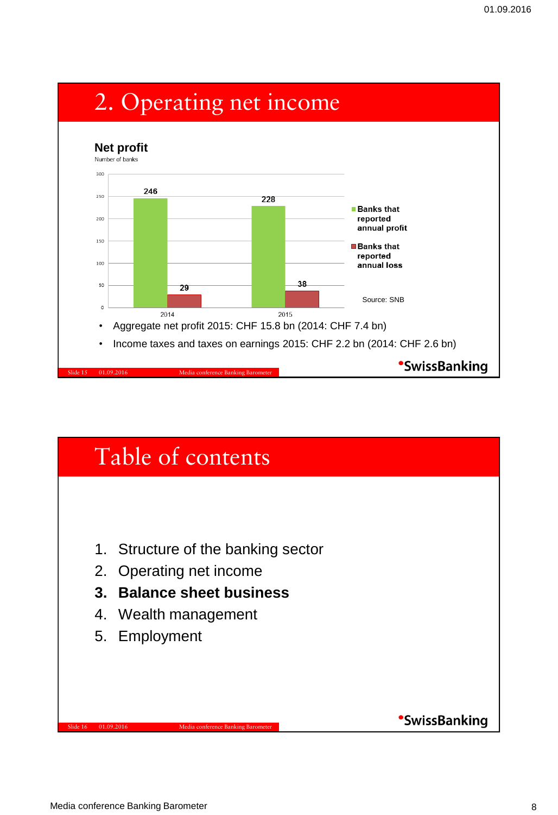

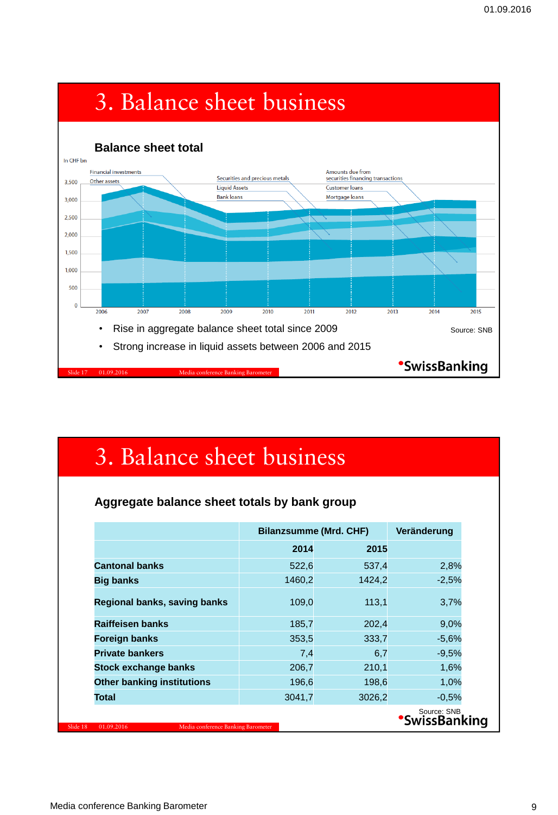

## 3. Balance sheet business

#### **Aggregate balance sheet totals by bank group**

|                                                  | <b>Bilanzsumme (Mrd. CHF)</b> | Veränderung |                                    |
|--------------------------------------------------|-------------------------------|-------------|------------------------------------|
|                                                  | 2014                          | 2015        |                                    |
| <b>Cantonal banks</b>                            | 522,6                         | 537,4       | 2,8%                               |
| <b>Big banks</b>                                 | 1460,2                        | 1424,2      | $-2,5%$                            |
| Regional banks, saving banks                     | 109,0                         | 113,1       | 3,7%                               |
| <b>Raiffeisen banks</b>                          | 185,7                         | 202,4       | 9,0%                               |
| <b>Foreign banks</b>                             | 353,5                         | 333,7       | $-5.6%$                            |
| <b>Private bankers</b>                           | 7,4                           | 6,7         | $-9,5%$                            |
| <b>Stock exchange banks</b>                      | 206,7                         | 210,1       | 1,6%                               |
| <b>Other banking institutions</b>                | 196,6                         | 198,6       | 1,0%                               |
| Total                                            | 3041,7                        | 3026,2      | $-0,5%$                            |
| Media conference Banking Barometer<br>01.09.2016 |                               |             | Source: SNB<br><b>SwissBanking</b> |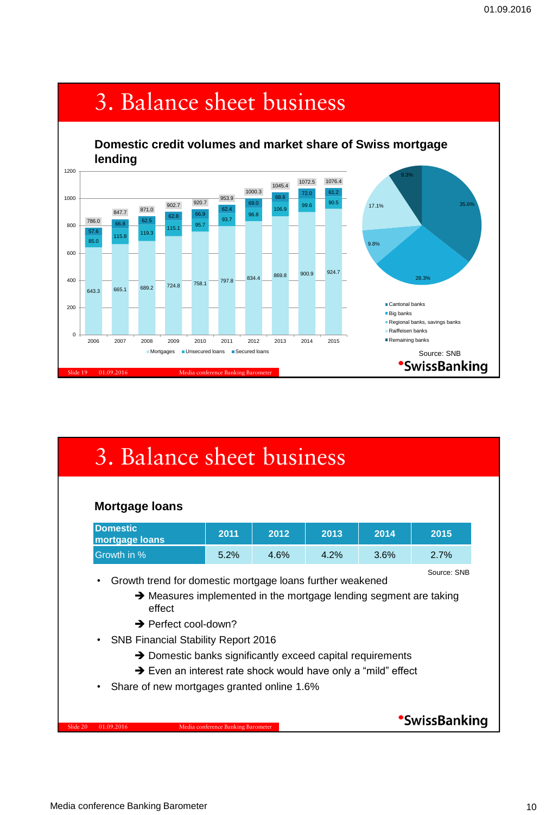

## 3. Balance sheet business

| <b>Domestic</b><br>mortgage loans          | 2011 | 2012 | 2013 | 2014 | 2015 |
|--------------------------------------------|------|------|------|------|------|
| Growth in %                                | 5.2% | 4.6% | 4.2% | 3.6% | 2.7% |
| effect<br>$\rightarrow$ Perfect cool-down? |      |      |      |      |      |

Slide 20 01.09.2016 Media conference Banking Barometer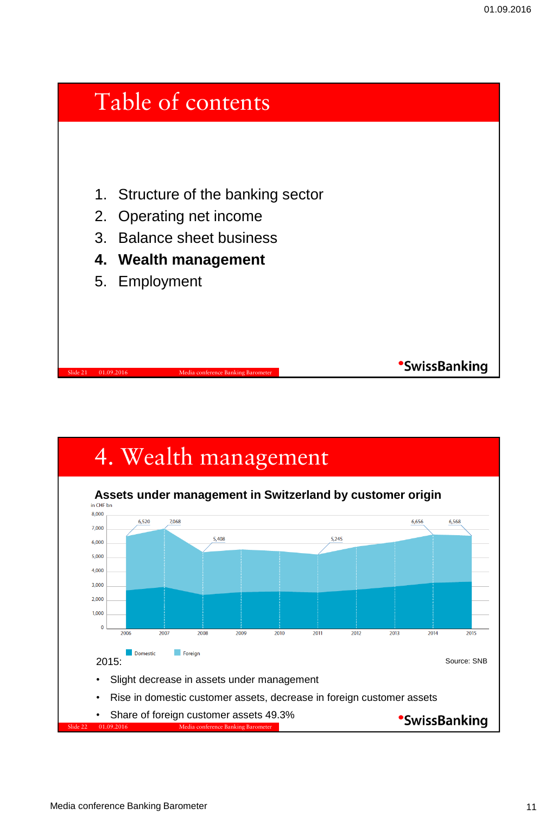

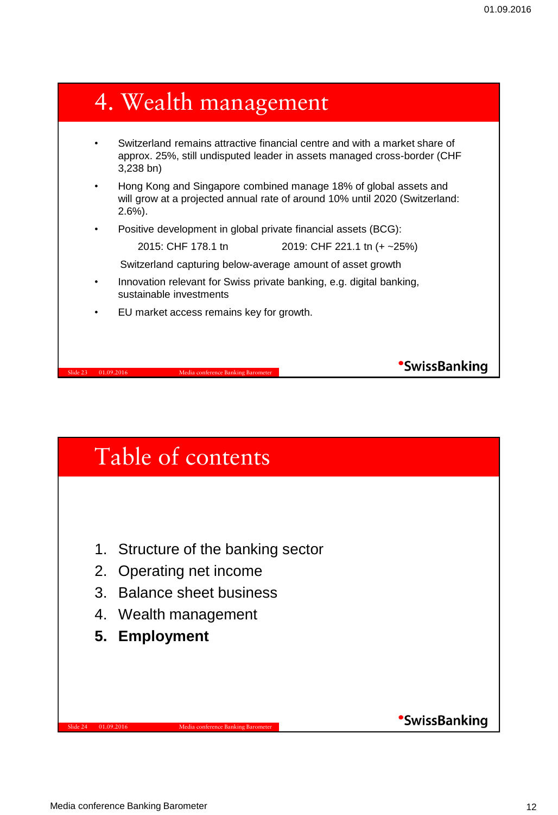### 4. Wealth management • Switzerland remains attractive financial centre and with a market share of approx. 25%, still undisputed leader in assets managed cross-border (CHF 3,238 bn) • Hong Kong and Singapore combined manage 18% of global assets and will grow at a projected annual rate of around 10% until 2020 (Switzerland: 2.6%). • Positive development in global private financial assets (BCG): 2015: CHF 178.1 tn 2019: CHF 221.1 tn (+ ~25%) Switzerland capturing below-average amount of asset growth • Innovation relevant for Swiss private banking, e.g. digital banking, sustainable investments • EU market access remains key for growth. **SwissBanking** Slide 23 01.09.2016 Media conference Banking Barometer

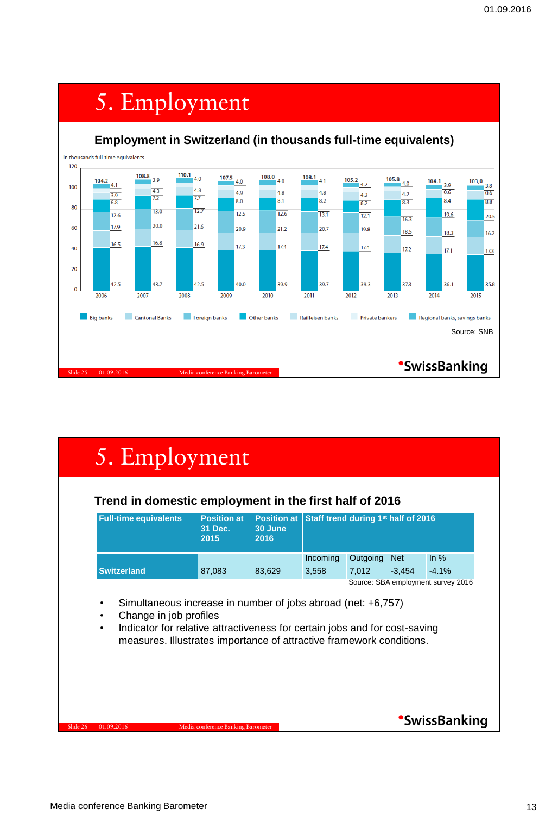

|  | 5. Employment |
|--|---------------|

#### **Trend in domestic employment in the first half of 2016**

| <b>Full-time equivalents</b>       | <b>Position at</b><br>31 Dec.<br>2015 | 30 June<br>2016 | <b>Position at Staff trend during 1st half of 2016</b> |          |            |                   |
|------------------------------------|---------------------------------------|-----------------|--------------------------------------------------------|----------|------------|-------------------|
|                                    |                                       |                 | Incoming                                               | Outgoing | <b>Net</b> | $\ln \frac{9}{6}$ |
| <b>Switzerland</b>                 | 87,083                                | 83.629          | 3.558                                                  | 7.012    | $-3.454$   | $-4.1%$           |
| Source: SBA employment survey 2016 |                                       |                 |                                                        |          |            |                   |

- Simultaneous increase in number of jobs abroad (net: +6,757)
- Change in job profiles
- Indicator for relative attractiveness for certain jobs and for cost-saving measures. Illustrates importance of attractive framework conditions.

Slide 26 01.09.2016 Media conference Banking Barometer